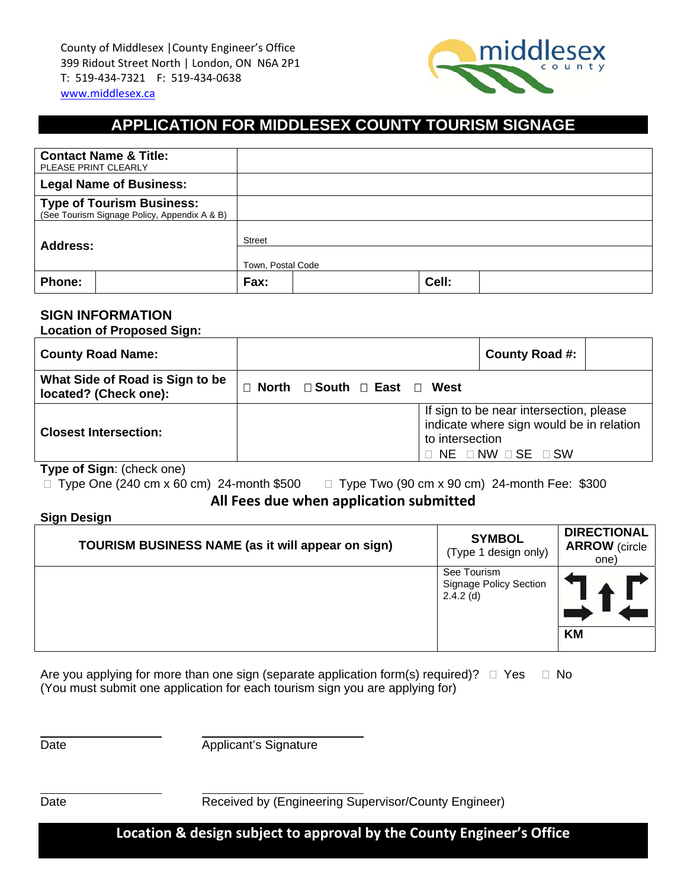

# **APPLICATION FOR MIDDLESEX COUNTY TOURISM SIGNAGE**

| <b>Contact Name &amp; Title:</b><br>PLEASE PRINT CLEARLY                         |                   |  |       |  |  |
|----------------------------------------------------------------------------------|-------------------|--|-------|--|--|
| <b>Legal Name of Business:</b>                                                   |                   |  |       |  |  |
| <b>Type of Tourism Business:</b><br>(See Tourism Signage Policy, Appendix A & B) |                   |  |       |  |  |
| <b>Address:</b>                                                                  | <b>Street</b>     |  |       |  |  |
|                                                                                  | Town, Postal Code |  |       |  |  |
| Phone:                                                                           | Fax:              |  | Cell: |  |  |

### **SIGN INFORMATION**

**Location of Proposed Sign:** 

| <b>County Road Name:</b>                                 |                                                   | County Road #:                                                                                                                                    |  |  |
|----------------------------------------------------------|---------------------------------------------------|---------------------------------------------------------------------------------------------------------------------------------------------------|--|--|
| What Side of Road is Sign to be<br>located? (Check one): | $\Box$ North $\Box$ South $\Box$ East $\Box$ West |                                                                                                                                                   |  |  |
| <b>Closest Intersection:</b>                             |                                                   | If sign to be near intersection, please<br>indicate where sign would be in relation<br>to intersection<br>$\Box$ NE $\Box$ NW $\Box$ SE $\Box$ SW |  |  |

**Type of Sign**: (check one)

 $\Box$  Type One (240 cm x 60 cm) 24-month \$500  $\Box$  Type Two (90 cm x 90 cm) 24-month Fee: \$300

**All Fees due when application submitted**

#### **Sign Design**

| TOURISM BUSINESS NAME (as it will appear on sign) | <b>SYMBOL</b><br>(Type 1 design only)                       | <b>DIRECTIONAL</b><br><b>ARROW</b> (circle<br>one) |
|---------------------------------------------------|-------------------------------------------------------------|----------------------------------------------------|
|                                                   | See Tourism<br><b>Signage Policy Section</b><br>$2.4.2$ (d) |                                                    |
|                                                   |                                                             | <b>KM</b>                                          |

Are you applying for more than one sign (separate application form(s) required)?  $\Box$  Yes  $\Box$  No (You must submit one application for each tourism sign you are applying for)

 $\overline{a}$ 

 $\overline{a}$ 

Date **Date** Applicant's Signature

Date **Date** Received by (Engineering Supervisor/County Engineer)

**Location & design subject to approval by the County Engineer's Office**